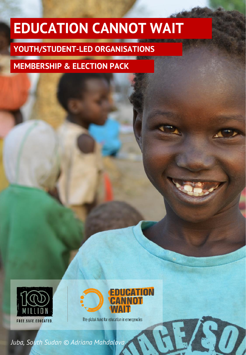# **EDUCATION CANNOT WAIT**

## **YOUTH/STUDENT-LED ORGANISATIONS**

### **MEMBERSHIP & ELECTION PACK**





50

The global fund for education in emergencies

*Juba, South Sudan © Adriana Mahdalova*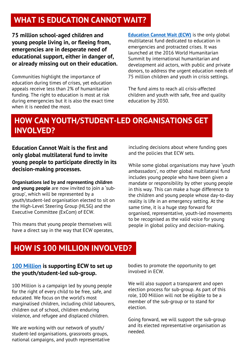### **WHAT IS EDUCATION CANNOT WAIT?**

**75 million school-aged children and young people living in, or fleeing from, emergencies are in desperate need of educational support, either in danger of, or already missing out on their education.**

Communities highlight the importance of education during times of crises, yet education appeals receive less than 2% of humanitarian funding. The right to education is most at risk during emergencies but it is also the exact time when it is needed the most.

**[Education Cannot Wait \(ECW\)](https://www.educationcannotwait.org/)** is the only global multilateral fund dedicated to education in emergencies and protracted crises. It was launched at the 2016 World Humanitarian Summit by international humanitarian and development aid actors, with public and private donors, to address the urgent education needs of 75 million children and youth in crisis settings.

The fund aims to reach all crisis-affected children and youth with safe, free and quality education by 2030.

### **HOW CAN YOUTH/STUDENT-LED ORGANISATIONS GET INVOLVED?**

**Education Cannot Wait is the first and only global multilateral fund to invite young people to participate directly in its decision-making processes.** 

**Organisations led by and representing children and young people** are now invited to join a 'subgroup', which will be represented by a youth/student-led organisation elected to sit on the High-Level Steering Group (HLSG) and the Executive Committee (ExCom) of ECW.

This means that young people themselves will have a direct say in the way that ECW operates, including decisions about where funding goes and the policies that ECW sets.

While some global organisations may have 'youth ambassadors', no other global multilateral fund includes young people who have been given a mandate or responsibility by other young people in this way. This can make a huge difference to the children and young people whose day-to-day reality is life in an emergency setting. At the same time, it is a huge step forward for organised, representative, youth-led movements to be recognised as the valid voice for young people in global policy and decision-making.

### **HOW IS 100 MILLION INVOLVED?**

#### **[100 Million](https://www.100million.org/ecw) is supporting ECW to set up the youth/student-led sub-group.**

100 Million is a campaign led by young people for the right of every child to be free, safe, and educated. We focus on the world's most marginalised children, including child labourers, children out of school, children enduring violence, and refugee and displaced children.

We are working with our network of youth/ student-led organisations, grassroots groups, national campaigns, and youth representative

bodies to promote the opportunity to get involved in ECW.

We will also support a transparent and open election process for sub-group. As part of this role, 100 Million will not be eligible to be a member of the sub-group or to stand for election.

Going forward, we will support the sub-group and its elected representative organisation as needed.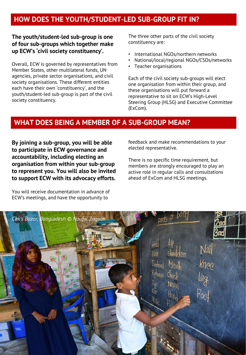### **HOW DOES THE YOUTH/STUDENT-LED SUB-GROUP FIT IN?**

#### **The youth/student-led sub-group is one of four sub-groups which together make up ECW's 'civil society constituency'.**

Overall, ECW is governed by representatives from Member States, other multilateral funds, UN agencies, private sector organisations, and civil society organisations. These different entities each have their own 'constituency', and the youth/student-led sub-group is part of the civil society constituency.

The three other parts of the civil society constituency are:

- International NGOs/northern networks
- National/local/regional NGOs/CSOs/networks
- Teacher organisations

Each of the civil society sub-groups will elect one organisation from within their group, and these organisations will put forward a representative to sit on ECW's High-Level Steering Group (HLSG) and Executive Committee (ExCom).

### **WHAT DOES BEING A MEMBER OF A SUB-GROUP MEAN?**

**By joining a sub-group, you will be able to participate in ECW governance and accountability, including electing an organisation from within your sub-group to represent you. You will also be invited to support ECW with its advocacy efforts.** 

You will receive documentation in advance of ECW's meetings, and have the opportunity to

feedback and make recommendations to your elected representative.

There is no specific time requirement, but members are strongly encouraged to play an active role in regular calls and consultations ahead of ExCom and HLSG meetings.

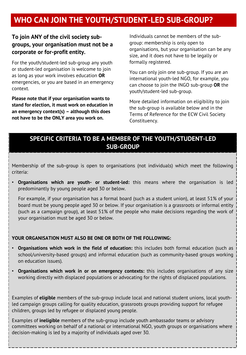### **WHO CAN JOIN THE YOUTH/STUDENT-LED SUB-GROUP?**

### **To join ANY of the civil society subgroups, your organisation must not be a corporate or for-profit entity.**

For the youth/student-led sub-group any youth or student-led organisation is welcome to join as long as your work involves education **OR**  emergencies, or you are based in an emergency context.

**Please note that if your organisation wants to stand for election, it must work on education in an emergency context(s) – although this does not have to be the ONLY area you work on.** 

Individuals cannot be members of the subgroup: membership is only open to organisations, but your organisation can be any size, and it does not have to be legally or formally registered.

You can only join one sub-group. If you are an international youth-led NGO, for example, you can choose to join the INGO sub-group **OR** the youth/student-led sub-group.

More detailed information on eligibility to join the sub-group is available below and in the Terms of Reference for the ECW Civil Society Constituency.

### **SPECIFIC CRITERIA TO BE A MEMBER OF THE YOUTH/STUDENT-LED SUB-GROUP**

Membership of the sub-group is open to organisations (not individuals) which meet the following criteria:

• **Organisations which are youth- or student-led:** this means where the organisation is led predominantly by young people aged 30 or below.

For example, if your organisation has a formal board (such as a student union), at least 51% of your board must be young people aged 30 or below. If your organisation is a grassroots or informal entity (such as a campaign group), at least 51% of the people who make decisions regarding the work of your organisation must be aged 30 or below.

#### **YOUR ORGANISATION MUST ALSO BE ONE OR BOTH OF THE FOLLOWING:**

- **Organisations which work in the field of education:** this includes both formal education (such as school/university-based groups) and informal education (such as community-based groups working on education issues).
- **Organisations which work in or on emergency contexts:** this includes organisations of any size working directly with displaced populations or advocating for the rights of displaced populations.

Examples of **eligible** members of the sub-group include local and national student unions, local youthled campaign groups calling for quality education, grassroots groups providing support for refugee children, groups led by refugee or displaced young people.

Examples of **ineligible** members of the sub-group include youth ambassador teams or advisory committees working on behalf of a national or international NGO, youth groups or organisations where decision-making is led by a majority of individuals aged over 30.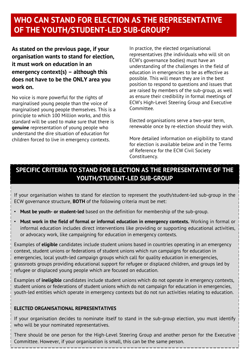### **WHO CAN STAND FOR ELECTION AS THE REPRESENTATIVE OF THE YOUTH/STUDENT-LED SUB-GROUP?**

**As stated on the previous page, if your organisation wants to stand for election, it must work on education in an emergency context(s) – although this does not have to be the ONLY area you work on.** 

No voice is more powerful for the rights of marginalised young people than the voice of marginalised young people themselves. This is a principle to which 100 Million works, and this standard will be used to make sure that there is **genuine** representation of young people who understand the dire situation of education for children forced to live in emergency contexts.

In practice, the elected organisational representatives (the individuals who will sit on ECW's governance bodies) must have an understanding of the challenges in the field of education in emergencies to be as effective as possible. This will mean they are in the best position to respond to questions and issues that are raised by members of the sub-group, as well as ensure their credibility in formal meetings of ECW's High-Level Steering Group and Executive Committee.

Elected organisations serve a two-year term, renewable once by re-election should they wish.

More detailed information on eligibility to stand for election is available below and in the Terms of Reference for the ECW Civil Society Constituency.

### **SPECIFIC CRITERIA TO STAND FOR ELECTION AS THE REPRESENTATIVE OF THE YOUTH/STUDENT-LED SUB-GROUP**

If your organisation wishes to stand for election to represent the youth/student-led sub-group in the ECW governance structure, **BOTH** of the following criteria must be met:

- **Must be youth- or student-led** based on the definition for membership of the sub-group.
- **Must work in the field of formal or informal education in emergency contexts.** Working in formal or informal education includes direct interventions like providing or supporting educational activities, or advocacy work, like campaigning for education in emergency contexts.

Examples of **eligible** candidates include student unions based in countries operating in an emergency context, student unions or federations of student unions which run campaigns for education in emergencies, local youth-led campaign groups which call for quality education in emergencies, grassroots groups providing educational support for refugee or displaced children, and groups led by refugee or displaced young people which are focused on education.

Examples of **ineligible** candidates include student unions which do not operate in emergency contexts, student unions or federations of student unions which do not campaign for education in emergencies, youth-led entities which operate in emergency contexts but do not run activities relating to education.

#### **ELECTED ORGANISATIONAL REPRESENTATIVES**

If your organisation decides to nominate itself to stand in the sub-group election, you must identify who will be your nominated representatives.

There should be one person for the High-Level Steering Group and another person for the Executive Committee. However, if your organisation is small, this can be the same person.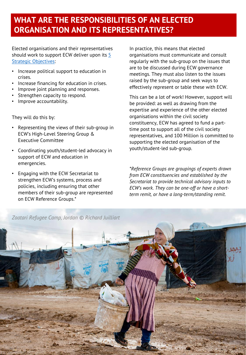### **WHAT ARE THE RESPONSIBILITIES OF AN ELECTED ORGANISATION AND ITS REPRESENTATIVES?**

Elected organisations and their representatives should work to support ECW deliver upon its  $5$ Strategic Objectives:

- Increase political support to education in crises.
- Increase financing for education in crises.
- Improve joint planning and responses.
- Strengthen capacity to respond.
- Improve accountability.

They will do this by:

- Representing the views of their sub-group in ECW's High-Level Steering Group & Executive Committee
- Coordinating youth/student-led advocacy in support of ECW and education in emergencies.
- Engaging with the ECW Secretariat to strengthen ECW's systems, process and policies, including ensuring that other members of their sub-group are represented on ECW Reference Groups.\*

In practice, this means that elected organisations must communicate and consult regularly with the sub-group on the issues that are to be discussed during ECW governance meetings. They must also listen to the issues raised by the sub-group and seek ways to effectively represent or table these with ECW.

This can be a lot of work! However, support will be provided: as well as drawing from the expertise and experience of the other elected organisations within the civil society constituency, ECW has agreed to fund a parttime post to support all of the civil society representatives, and 100 Million is committed to supporting the elected organisation of the youth/student-led sub-group.

*\*Reference Groups are groupings of experts drawn from ECW constituencies and established by the Secretariat to provide technical advisory inputs to ECW's work. They can be one-off or have a shortterm remit, or have a long-term/standing remit.* 

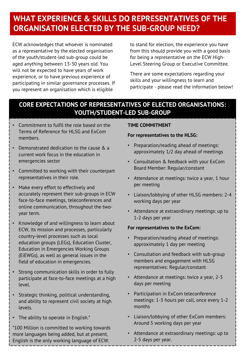### **WHAT EXPERIENCE & SKILLS DO REPRESENTATIVES OF THE ORGANISATION ELECTED BY THE SUB-GROUP NEED?**

ECW acknowledges that whoever is nominated as a representative by the elected organisation of the youth/student-led sub-group could be aged anything between 13-30 years old. You will not be expected to have years of work experience, or to have previous experience of participating in similar governance processes. If you represent an organisation which is eligible

to stand for election, the experience you have from this should provide you with a good basis for being a representative on the ECW High-Level Steering Group or Executive Committee.

There are some expectations regarding your skills and your willingness to learn and participate - please read the information below!

### **CORE EXPECTATIONS OF REPRESENTATIVES OF ELECTED ORGANISATIONS: YOUTH/STUDENT-LED SUB-GROUP**

- Commitment to fulfil the role based on the Terms of Reference for HLSG and ExCom members.
- Demonstrated dedication to the cause & a current work focus in the education in emergencies sector
- Committed to working with their counterpart representatives in their role.
- Make every effort to effectively and accurately represent their sub-groups in ECW face-to-face meetings, teleconferences and online communication, throughout the twoyear term.
- Knowledge of and willingness to learn about ECW, its mission and processes, particularly country-level processes such as local education groups (LEGs), Education Cluster, Education in Emergencies Working Groups (EiEWGs), as well as general issues in the field of education in emergencies.
- Strong communication skills in order to fully participate at face-to-face meetings at a high level.
- Strategic thinking, political understanding, and ability to represent civil society at high levels.
- The ability to operate in English.\*

\*100 Million is committed to working towards more languages being added, but at present, English is the only working language of ECW.

#### **TIME COMMITMENT**

#### **For representatives to the HLSG:**

- Preparation/reading ahead of meetings: approximately 1/2 day ahead of meetings
- Consultation & feedback with your ExCom Board Member: Regular/constant
- Attendance at meetings: twice a year, 1 hour per meeting
- Liaison/lobbying of other HLSG members: 2-4 working days per year
- Attendance at extraordinary meetings: up to 1-2 days per year

#### **For representatives to the ExCom:**

- Preparation/reading ahead of meetings: approximately 1 day per meeting
- Consultation and feedback with sub-group members and engagement with HLSG representatives: Regular/constant
- Attendance at meetings: twice a year, 2-3 days per meeting
- Participation in ExCom teleconference meetings: 1-3 hours per call, once every 1-2 months
- Liaison/lobbying of other ExCom members: Around 5 working days per year
- Attendance at extraordinary meetings: up to 2-5 days per year.